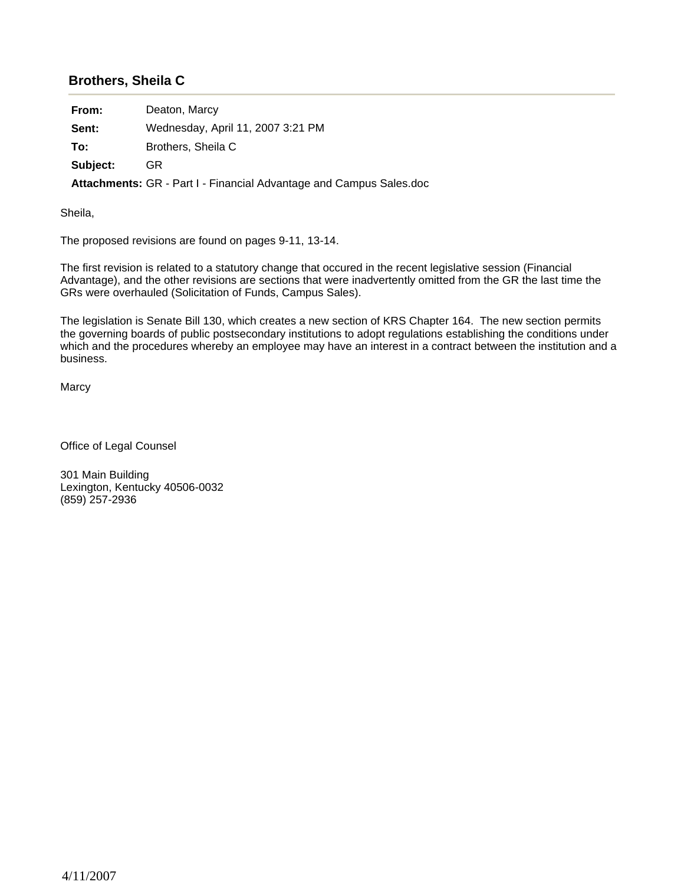## **Brothers, Sheila C**

**From:** Deaton, Marcy

**Sent:** Wednesday, April 11, 2007 3:21 PM

**To:** Brothers, Sheila C

**Subject:** GR

**Attachments:** GR - Part I - Financial Advantage and Campus Sales.doc

Sheila,

The proposed revisions are found on pages 9-11, 13-14.

The first revision is related to a statutory change that occured in the recent legislative session (Financial Advantage), and the other revisions are sections that were inadvertently omitted from the GR the last time the GRs were overhauled (Solicitation of Funds, Campus Sales).

The legislation is Senate Bill 130, which creates a new section of KRS Chapter 164. The new section permits the governing boards of public postsecondary institutions to adopt regulations establishing the conditions under which and the procedures whereby an employee may have an interest in a contract between the institution and a business.

**Marcy** 

Office of Legal Counsel

301 Main Building Lexington, Kentucky 40506-0032 (859) 257-2936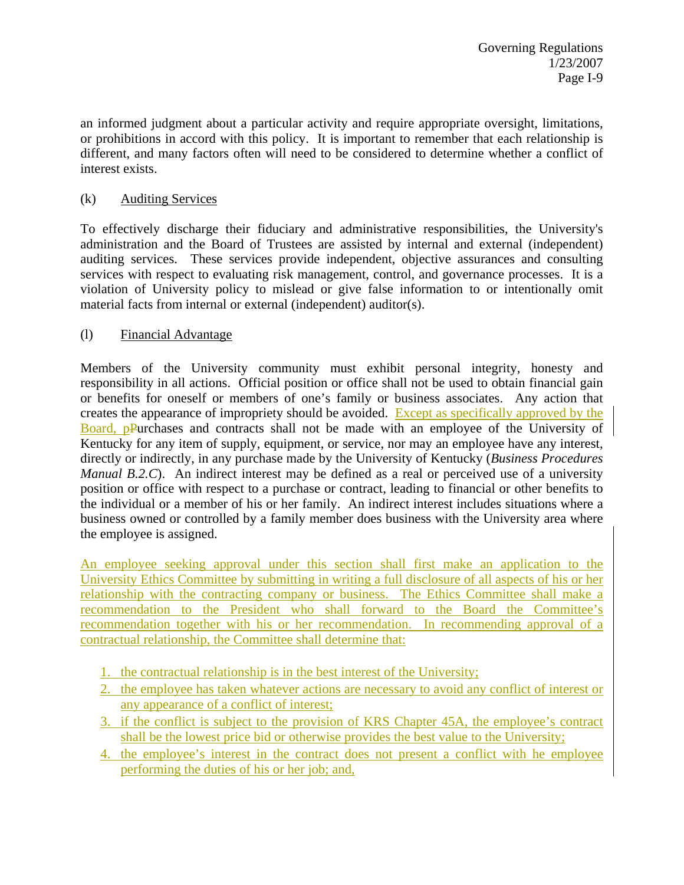an informed judgment about a particular activity and require appropriate oversight, limitations, or prohibitions in accord with this policy. It is important to remember that each relationship is different, and many factors often will need to be considered to determine whether a conflict of interest exists.

### (k) Auditing Services

To effectively discharge their fiduciary and administrative responsibilities, the University's administration and the Board of Trustees are assisted by internal and external (independent) auditing services. These services provide independent, objective assurances and consulting services with respect to evaluating risk management, control, and governance processes. It is a violation of University policy to mislead or give false information to or intentionally omit material facts from internal or external (independent) auditor(s).

### (l) Financial Advantage

Members of the University community must exhibit personal integrity, honesty and responsibility in all actions. Official position or office shall not be used to obtain financial gain or benefits for oneself or members of one's family or business associates. Any action that creates the appearance of impropriety should be avoided. Except as specifically approved by the Board, pPurchases and contracts shall not be made with an employee of the University of Kentucky for any item of supply, equipment, or service, nor may an employee have any interest, directly or indirectly, in any purchase made by the University of Kentucky (*Business Procedures Manual B.2.C*). An indirect interest may be defined as a real or perceived use of a university position or office with respect to a purchase or contract, leading to financial or other benefits to the individual or a member of his or her family. An indirect interest includes situations where a business owned or controlled by a family member does business with the University area where the employee is assigned.

An employee seeking approval under this section shall first make an application to the University Ethics Committee by submitting in writing a full disclosure of all aspects of his or her relationship with the contracting company or business. The Ethics Committee shall make a recommendation to the President who shall forward to the Board the Committee's recommendation together with his or her recommendation. In recommending approval of a contractual relationship, the Committee shall determine that:

- 1. the contractual relationship is in the best interest of the University;
- 2. the employee has taken whatever actions are necessary to avoid any conflict of interest or any appearance of a conflict of interest;
- 3. if the conflict is subject to the provision of KRS Chapter 45A, the employee's contract shall be the lowest price bid or otherwise provides the best value to the University;
- 4. the employee's interest in the contract does not present a conflict with he employee performing the duties of his or her job; and,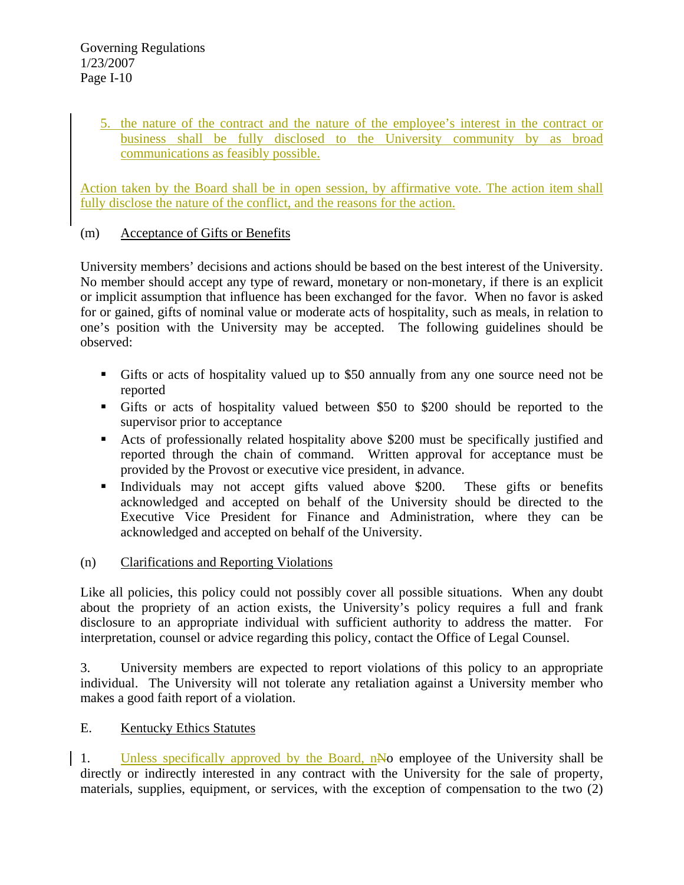5. the nature of the contract and the nature of the employee's interest in the contract or business shall be fully disclosed to the University community by as broad communications as feasibly possible.

Action taken by the Board shall be in open session, by affirmative vote. The action item shall fully disclose the nature of the conflict, and the reasons for the action.

### (m) Acceptance of Gifts or Benefits

University members' decisions and actions should be based on the best interest of the University. No member should accept any type of reward, monetary or non-monetary, if there is an explicit or implicit assumption that influence has been exchanged for the favor. When no favor is asked for or gained, gifts of nominal value or moderate acts of hospitality, such as meals, in relation to one's position with the University may be accepted. The following guidelines should be observed:

- Gifts or acts of hospitality valued up to \$50 annually from any one source need not be reported
- Gifts or acts of hospitality valued between \$50 to \$200 should be reported to the supervisor prior to acceptance
- Acts of professionally related hospitality above \$200 must be specifically justified and reported through the chain of command. Written approval for acceptance must be provided by the Provost or executive vice president, in advance.
- Individuals may not accept gifts valued above \$200. These gifts or benefits acknowledged and accepted on behalf of the University should be directed to the Executive Vice President for Finance and Administration, where they can be acknowledged and accepted on behalf of the University.

## (n) Clarifications and Reporting Violations

Like all policies, this policy could not possibly cover all possible situations. When any doubt about the propriety of an action exists, the University's policy requires a full and frank disclosure to an appropriate individual with sufficient authority to address the matter. For interpretation, counsel or advice regarding this policy, contact the Office of Legal Counsel.

3. University members are expected to report violations of this policy to an appropriate individual. The University will not tolerate any retaliation against a University member who makes a good faith report of a violation.

## E. Kentucky Ethics Statutes

1. Unless specifically approved by the Board, nNo employee of the University shall be directly or indirectly interested in any contract with the University for the sale of property, materials, supplies, equipment, or services, with the exception of compensation to the two (2)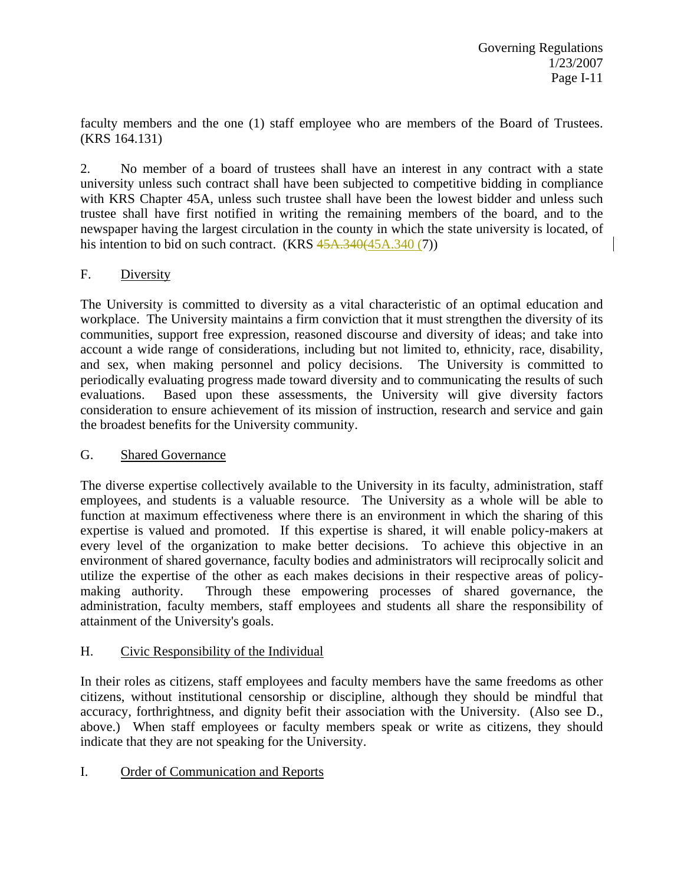faculty members and the one (1) staff employee who are members of the Board of Trustees. (KRS 164.131)

2. No member of a board of trustees shall have an interest in any contract with a state university unless such contract shall have been subjected to competitive bidding in compliance with KRS Chapter 45A, unless such trustee shall have been the lowest bidder and unless such trustee shall have first notified in writing the remaining members of the board, and to the newspaper having the largest circulation in the county in which the state university is located, of his intention to bid on such contract. (KRS 45A.340(45A.340(7))

# F. Diversity

The University is committed to diversity as a vital characteristic of an optimal education and workplace. The University maintains a firm conviction that it must strengthen the diversity of its communities, support free expression, reasoned discourse and diversity of ideas; and take into account a wide range of considerations, including but not limited to, ethnicity, race, disability, and sex, when making personnel and policy decisions. The University is committed to periodically evaluating progress made toward diversity and to communicating the results of such evaluations. Based upon these assessments, the University will give diversity factors consideration to ensure achievement of its mission of instruction, research and service and gain the broadest benefits for the University community.

## G. Shared Governance

The diverse expertise collectively available to the University in its faculty, administration, staff employees, and students is a valuable resource. The University as a whole will be able to function at maximum effectiveness where there is an environment in which the sharing of this expertise is valued and promoted. If this expertise is shared, it will enable policy-makers at every level of the organization to make better decisions. To achieve this objective in an environment of shared governance, faculty bodies and administrators will reciprocally solicit and utilize the expertise of the other as each makes decisions in their respective areas of policymaking authority. Through these empowering processes of shared governance, the administration, faculty members, staff employees and students all share the responsibility of attainment of the University's goals.

## H. Civic Responsibility of the Individual

In their roles as citizens, staff employees and faculty members have the same freedoms as other citizens, without institutional censorship or discipline, although they should be mindful that accuracy, forthrightness, and dignity befit their association with the University. (Also see D., above.) When staff employees or faculty members speak or write as citizens, they should indicate that they are not speaking for the University.

## I. Order of Communication and Reports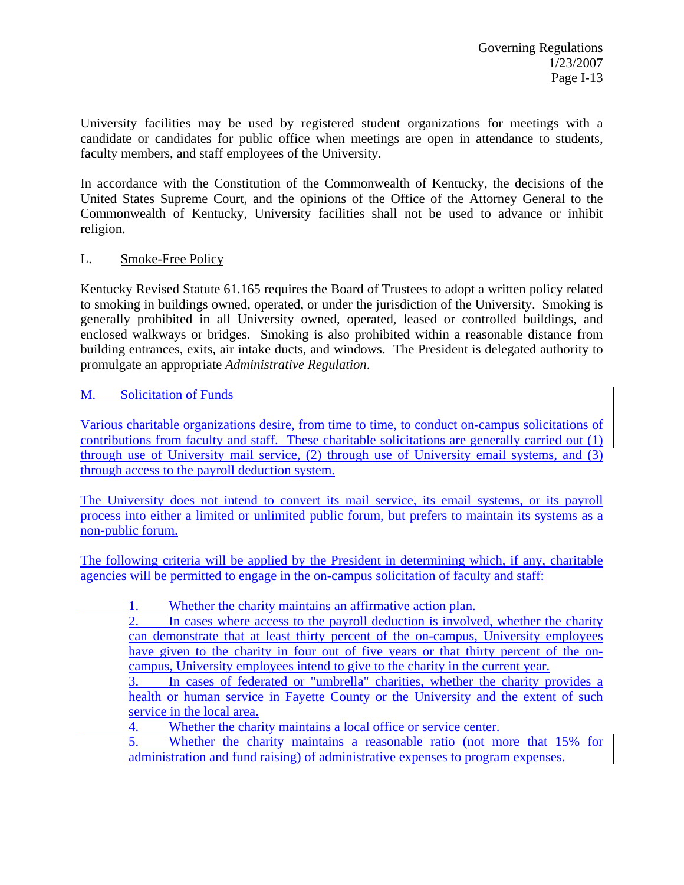University facilities may be used by registered student organizations for meetings with a candidate or candidates for public office when meetings are open in attendance to students, faculty members, and staff employees of the University.

In accordance with the Constitution of the Commonwealth of Kentucky, the decisions of the United States Supreme Court, and the opinions of the Office of the Attorney General to the Commonwealth of Kentucky, University facilities shall not be used to advance or inhibit religion.

### L. Smoke-Free Policy

Kentucky Revised Statute 61.165 requires the Board of Trustees to adopt a written policy related to smoking in buildings owned, operated, or under the jurisdiction of the University. Smoking is generally prohibited in all University owned, operated, leased or controlled buildings, and enclosed walkways or bridges. Smoking is also prohibited within a reasonable distance from building entrances, exits, air intake ducts, and windows. The President is delegated authority to promulgate an appropriate *Administrative Regulation*.

### M. Solicitation of Funds

Various charitable organizations desire, from time to time, to conduct on-campus solicitations of contributions from faculty and staff. These charitable solicitations are generally carried out (1) through use of University mail service, (2) through use of University email systems, and (3) through access to the payroll deduction system.

The University does not intend to convert its mail service, its email systems, or its payroll process into either a limited or unlimited public forum, but prefers to maintain its systems as a non-public forum.

The following criteria will be applied by the President in determining which, if any, charitable agencies will be permitted to engage in the on-campus solicitation of faculty and staff:

- 1. Whether the charity maintains an affirmative action plan.
	- 2. In cases where access to the payroll deduction is involved, whether the charity can demonstrate that at least thirty percent of the on-campus, University employees have given to the charity in four out of five years or that thirty percent of the oncampus, University employees intend to give to the charity in the current year.
	- 3. In cases of federated or "umbrella" charities, whether the charity provides a health or human service in Fayette County or the University and the extent of such service in the local area.
	- 4. Whether the charity maintains a local office or service center.

5. Whether the charity maintains a reasonable ratio (not more that 15% for administration and fund raising) of administrative expenses to program expenses.